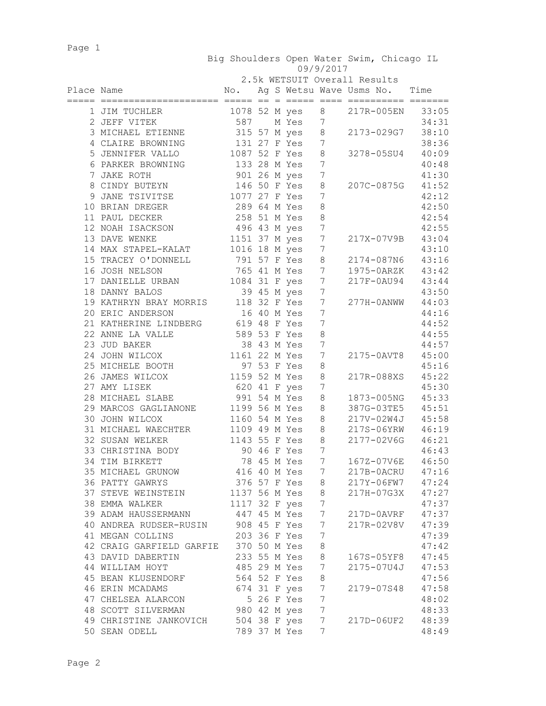Page 1

|            |                                                                     |                                 |  |  | Big Shoulders Open Water Swim, Chicago IL<br>09/9/2017 |                                  |  |            |                                |
|------------|---------------------------------------------------------------------|---------------------------------|--|--|--------------------------------------------------------|----------------------------------|--|------------|--------------------------------|
|            |                                                                     | 2.5k WETSUIT Overall Results    |  |  |                                                        |                                  |  |            |                                |
| Place Name |                                                                     | No.                             |  |  |                                                        | Ag S Wetsu Wave Usms No. Time    |  |            |                                |
|            |                                                                     |                                 |  |  |                                                        |                                  |  |            |                                |
|            | 1 JIM TUCHLER                                                       | 1078 52 M yes                   |  |  |                                                        | 8                                |  | 217R-005EN | 33:05                          |
|            | 2 JEFF VITEK                                                        | 587                             |  |  | M Yes                                                  | 7                                |  |            | 34:31                          |
|            | 3 MICHAEL ETIENNE                                                   | 315 57 M yes                    |  |  |                                                        | 8                                |  | 2173-029G7 | 38:10                          |
|            | 4 CLAIRE BROWNING                                                   | 131 27 F Yes                    |  |  |                                                        | 7                                |  |            | 38:36                          |
|            | 5 JENNIFER VALLO                                                    | 1087 52 F Yes                   |  |  |                                                        | 8                                |  | 3278-05SU4 | 40:09                          |
|            | 6 PARKER BROWNING                                                   | 133 28 M Yes                    |  |  |                                                        | 7                                |  |            | 40:48                          |
|            | 7 JAKE ROTH                                                         | 901 26 М уеѕ                    |  |  |                                                        | $\overline{7}$                   |  |            | 41:30                          |
|            | 8 CINDY BUTEYN                                                      | 146 50 F Yes                    |  |  |                                                        | 8                                |  | 207C-0875G | 41:52                          |
|            | 9 JANE TSIVITSE                                                     | 1077 27 F Yes                   |  |  |                                                        | 7                                |  |            | 42:12                          |
|            | 10 BRIAN DREGER                                                     | 289 64 M Yes                    |  |  |                                                        | 8                                |  |            | 42:50                          |
|            | 11 PAUL DECKER                                                      | 258 51 M Yes                    |  |  |                                                        | $\,8\,$                          |  |            | 42:54                          |
|            | 12 NOAH ISACKSON                                                    |                                 |  |  |                                                        | $7\phantom{.0}$                  |  |            | 42:55                          |
|            | 13 DAVE WENKE                                                       | 496 43 M yes<br>1151 37 M yes   |  |  |                                                        | $7\phantom{.0}$                  |  | 217X-07V9B | 43:04                          |
|            | 14 MAX STAPEL-KALAT                                                 | 1016 18 M yes                   |  |  |                                                        | $\boldsymbol{7}$                 |  |            | 43:10                          |
|            | 15 TRACEY O'DONNELL                                                 | 791 57 F Yes<br>765 41 M Yes    |  |  |                                                        | $\,8\,$                          |  | 2174-087N6 | 43:16                          |
|            | 16 JOSH NELSON                                                      |                                 |  |  |                                                        | $7\phantom{.0}$                  |  | 1975-0ARZK | 43:42                          |
|            | 17 DANIELLE URBAN                                                   | 1084 31 F yes                   |  |  |                                                        | $7\phantom{.0}$                  |  | 217F-0AU94 | 43:44                          |
|            | 18 DANNY BALOS                                                      |                                 |  |  | 39 45 M yes                                            | $\overline{7}$                   |  |            | 43:50                          |
|            | 19 KATHRYN BRAY MORRIS 118 32 F Yes<br>20 ERIC ANDERSON 16 40 M Yes |                                 |  |  |                                                        | $\overline{7}$                   |  | 277H-0ANWW | 44:03                          |
|            | 20 ERIC ANDERSON                                                    |                                 |  |  | 16 40 M Yes                                            | 7                                |  |            | 44:16                          |
|            | 21 KATHERINE LINDBERG 619 48 F Yes                                  |                                 |  |  |                                                        | $\overline{7}$                   |  |            | 44:52                          |
|            | 22 ANNE LA VALLE                                                    | 589 53 F Yes<br>38 43 M Yes     |  |  |                                                        | $\,8\,$                          |  |            | 44:55                          |
|            | 23 JUD BAKER                                                        | 1161 22 M Yes                   |  |  | 38 43 M Yes                                            | $\overline{7}$<br>$\overline{7}$ |  |            | 44:57                          |
|            | 24 JOHN WILCOX<br>25 MICHELE BOOTH                                  |                                 |  |  | 97 53 F Yes                                            | 8                                |  | 2175-0AVT8 | 45:00<br>45:16                 |
|            | 26 JAMES WILCOX                                                     | 1159 52 M Yes                   |  |  |                                                        | $\,8\,$                          |  | 217R-088XS | 45:22                          |
|            | 27 AMY LISEK                                                        | 620 41 F yes                    |  |  |                                                        | 7                                |  |            | 45:30                          |
|            | 28 MICHAEL SLABE                                                    | 991 54 M Yes                    |  |  |                                                        | $\,8\,$                          |  | 1873-005NG | 45:33                          |
|            | 29 MARCOS GAGLIANONE 1199 56 M Yes                                  |                                 |  |  |                                                        | 8                                |  |            | 387G-03TE5 45:51               |
|            | 30 JOHN WILCOX                                                      | 1160 54 M Yes                   |  |  |                                                        | 8 <sup>8</sup>                   |  | 217V-02W4J | 45:58                          |
|            | 31 MICHAEL WAECHTER                                                 | 1109 49 M Yes 8                 |  |  |                                                        |                                  |  |            | 217S-06YRW 46:19               |
|            | 32 SUSAN WELKER                                                     | 1143 55 F Yes                   |  |  |                                                        | 8                                |  | 2177-02V6G | 46:21                          |
|            | 33 CHRISTINA BODY                                                   |                                 |  |  | 90 46 F Yes                                            | $7\phantom{.0}$                  |  |            | 46:43                          |
|            | 34 TIM BIRKETT                                                      |                                 |  |  |                                                        |                                  |  |            | 78 45 M Yes 7 167Z-07V6E 46:50 |
|            | 35 MICHAEL GRUNOW 416 40 M Yes 7 217B-0ACRU 47:16                   |                                 |  |  |                                                        |                                  |  |            |                                |
|            | 36 PATTY GAWRYS                                                     | 376 57 F Yes 8 217Y-06FW7 47:24 |  |  |                                                        |                                  |  |            |                                |
|            | 37 STEVE WEINSTEIN 1137 56 M Yes 8                                  |                                 |  |  |                                                        |                                  |  |            | 217H-07G3X 47:27               |
|            | 38 EMMA WALKER                                                      | 1117 32 F yes 7                 |  |  |                                                        |                                  |  |            | 47:37                          |
|            | 39 ADAM HAUSSERMANN 447 45 M Yes 7 217D-0AVRF 47:37                 |                                 |  |  |                                                        |                                  |  |            |                                |
|            | 40 ANDREA RUDSER-RUSIN 908 45 F Yes 7                               |                                 |  |  |                                                        |                                  |  |            | 217R-02V8V 47:39               |
|            | 41 MEGAN COLLINS                                                    | 203 36 F Yes 7                  |  |  |                                                        |                                  |  |            | 47:39                          |
|            | 42 CRAIG GARFIELD GARFIE 370 50 M Yes 8                             |                                 |  |  |                                                        |                                  |  |            | 47:42                          |
|            | 43 DAVID DABERTIN 233 55 M Yes 8 167S-05YF8 47:45                   |                                 |  |  |                                                        |                                  |  |            |                                |
|            | 44 WILLIAM HOYT                                                     | 485 29 M Yes 7                  |  |  |                                                        |                                  |  |            | 2175-07U4J 47:53               |
|            | 45 BEAN KLUSENDORF 564 52 F Yes 8                                   |                                 |  |  |                                                        |                                  |  |            | 47:56                          |
|            | 46 ERIN MCADAMS 674 31 F yes 7                                      |                                 |  |  |                                                        |                                  |  | 2179-07S48 | 47:58                          |
|            | 47 CHELSEA ALARCON 5 26 F Yes 7                                     |                                 |  |  |                                                        |                                  |  |            | 48:02                          |
|            | 48 SCOTT SILVERMAN 980 42 M yes 7                                   |                                 |  |  |                                                        |                                  |  |            | 48:33                          |
|            | 49 CHRISTINE JANKOVICH 504 38 F yes 7                               |                                 |  |  |                                                        |                                  |  |            | 217D-06UF2 48:39               |
|            | 50 SEAN ODELL                                                       | 789 37 M Yes                    |  |  |                                                        | 7                                |  |            | 48:49                          |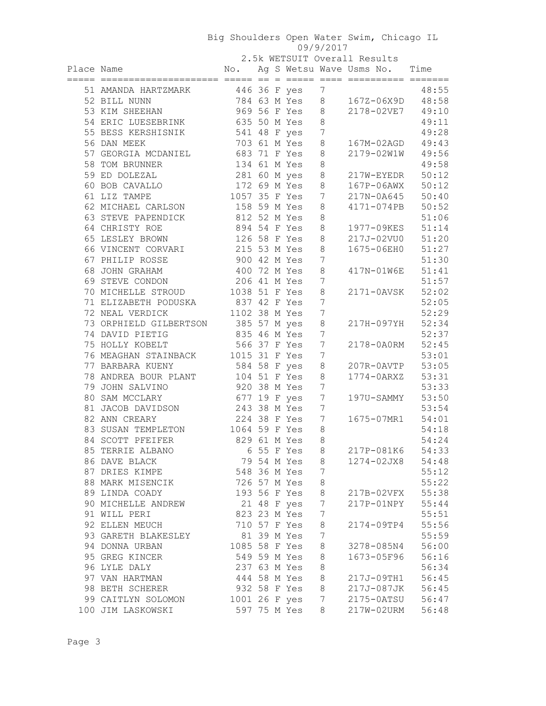## Big Shoulders Open Water Swim, Chicago IL 09/9/2017

2.5k WETSUIT Overall Results

| Place Name |                                     |                |  |              |                 | WHIPSII OVCIGIL INCOUI<br>No. Ag S Wetsu Wave Usms No. Time |       |
|------------|-------------------------------------|----------------|--|--------------|-----------------|-------------------------------------------------------------|-------|
|            | 51 AMANDA HARTZMARK 446 36 F yes    |                |  |              | 7               |                                                             | 48:55 |
|            | 52 BILL NUNN                        | 784 63 M Yes   |  |              | 8               | 167Z-06X9D 48:58                                            |       |
|            | 53 KIM SHEEHAN                      | 969 56 F Yes 8 |  |              |                 | 2178-02VE7 49:10                                            |       |
|            | 54 ERIC LUESEBRINK                  | 635 50 M Yes 8 |  |              |                 |                                                             | 49:11 |
|            | 55 BESS KERSHISNIK 541 48 F yes     |                |  |              | $\overline{7}$  |                                                             | 49:28 |
|            | 56 DAN MEEK                         | 703 61 M Yes   |  |              | $\,8\,$         | 167M-02AGD                                                  | 49:43 |
|            | 57 GEORGIA MCDANIEL 683 71 F Yes    |                |  |              | $\,8\,$         | 2179-02W1W 49:56                                            |       |
|            | 58 TOM BRUNNER                      | 134 61 M Yes   |  |              | $\,8\,$         |                                                             | 49:58 |
|            | 59 ED DOLEZAL                       | 281 60 M yes   |  |              | $\,8\,$         | 217W-EYEDR 50:12                                            |       |
|            | 60 BOB CAVALLO                      | 172 69 M Yes   |  |              | 8               | 167P-06AWX 50:12                                            |       |
|            | 61 LIZ TAMPE                        | 1057 35 F Yes  |  |              | $7\phantom{.0}$ | 217N-0A645 50:40                                            |       |
|            | 62 MICHAEL CARLSON 158 59 M Yes     |                |  |              | $\,8\,$         | 4171-074PB 50:52                                            |       |
|            | 63 STEVE PAPENDICK 812 52 M Yes     |                |  |              | $\,8\,$         |                                                             | 51:06 |
|            | 64 CHRISTY ROE<br>894 54 F Yes      |                |  |              | 8               | 1977-09KES 51:14                                            |       |
|            | 65 LESLEY BROWN                     | 126 58 F Yes   |  |              | 8               | 217J-02VU0 51:20                                            |       |
|            | 66 VINCENT CORVARI 215 53 M Yes     |                |  |              | 8               | 1675-06EH0 51:27                                            |       |
|            | 67 PHILIP ROSSE                     | 900 42 M Yes   |  |              | 7               |                                                             | 51:30 |
|            | 68 JOHN GRAHAM                      | 400 72 M Yes   |  |              | $\,8\,$         | 417N-01W6E 51:41                                            |       |
|            | 69 STEVE CONDON                     | 206 41 M Yes   |  |              | 7               |                                                             | 51:57 |
|            | 70 MICHELLE STROUD 1038 51 F Yes    |                |  |              | $\,8\,$         | 2171-0AVSK 52:02                                            |       |
|            | 71 ELIZABETH PODUSKA 837 42 F Yes   |                |  |              | 7               |                                                             | 52:05 |
|            | 72 NEAL VERDICK                     | 1102 38 M Yes  |  |              | $7\phantom{.0}$ |                                                             | 52:29 |
|            | 73 ORPHIELD GILBERTSON 385 57 M yes |                |  |              | $\,8\,$         | 217H-097YH                                                  | 52:34 |
|            | 74 DAVID PIETIG<br>835 46 M Yes     |                |  |              | 7               |                                                             | 52:37 |
|            | 75 HOLLY KOBELT                     | 566 37 F Yes   |  |              | $\overline{7}$  | 2178-0A0RM                                                  | 52:45 |
|            | 76 MEAGHAN STAINBACK 1015 31 F Yes  |                |  |              | $\overline{7}$  |                                                             | 53:01 |
|            | 77 BARBARA KUENY                    | 584 58 F yes   |  |              | 8               | 207R-0AVTP                                                  | 53:05 |
|            | 78 ANDREA BOUR PLANT 104 51 F Yes   |                |  |              | 8               | 1774-0ARXZ                                                  | 53:31 |
|            | 79 JOHN SALVINO                     | 920 38 M Yes   |  |              | $7\phantom{.0}$ |                                                             | 53:33 |
|            | 80 SAM MCCLARY                      | 677 19 F yes   |  |              | $7\phantom{.0}$ | 197U-SAMMY                                                  | 53:50 |
|            | 81 JACOB DAVIDSON                   | 243 38 M Yes   |  |              | 7               |                                                             | 53:54 |
|            | 82 ANN CREARY                       | 224 38 F Yes   |  |              | $7\phantom{.0}$ | 1675-07MR1                                                  | 54:01 |
|            | 83 SUSAN TEMPLETON                  | 1064 59 F Yes  |  |              | 8               |                                                             | 54:18 |
|            | 84 SCOTT PFEIFER                    | 829 61 M Yes   |  |              | $\,8\,$         |                                                             | 54:24 |
|            | 85 TERRIE ALBANO                    |                |  | 6 55 F Yes 8 |                 | 217P-081K6                                                  | 54:33 |
|            | 86 DAVE BLACK                       |                |  |              |                 | 79 54 M Yes 8 1274-02JX8 54:48                              |       |
|            | 87 DRIES KIMPE                      |                |  | 548 36 M Yes | 7               |                                                             | 55:12 |
|            | 88 MARK MISENCIK                    |                |  | 726 57 M Yes | $\,8\,$         |                                                             | 55:22 |
|            | 89 LINDA COADY                      |                |  | 193 56 F Yes | $\,8\,$         | 217B-02VFX                                                  | 55:38 |
|            | 90 MICHELLE ANDREW                  |                |  | 21 48 F yes  | $\overline{7}$  | 217P-01NPY                                                  | 55:44 |
|            | 91 WILL PERI                        |                |  | 823 23 M Yes | 7               |                                                             | 55:51 |
|            | 92 ELLEN MEUCH                      |                |  | 710 57 F Yes | $\,8\,$         | 2174-09TP4                                                  | 55:56 |
|            | 93 GARETH BLAKESLEY                 |                |  | 81 39 M Yes  | 7               |                                                             | 55:59 |
|            | 94 DONNA URBAN                      | 1085 58 F Yes  |  |              | $\,8\,$         | 3278-085N4                                                  | 56:00 |
|            | 95 GREG KINCER                      |                |  | 549 59 M Yes | $\,8\,$         | 1673-05F96                                                  | 56:16 |
|            | 96 LYLE DALY                        | 237 63 M Yes   |  |              | $\,8\,$         |                                                             | 56:34 |
|            | 97 VAN HARTMAN                      | 444 58 M Yes   |  |              | 8               | 217J-09TH1                                                  | 56:45 |
|            | 98 BETH SCHERER                     | 932 58 F Yes   |  |              | 8               | 217J-087JK                                                  | 56:45 |
|            | 99 CAITLYN SOLOMON                  | 1001 26 F yes  |  |              | $7\phantom{.0}$ | 2175-0ATSU                                                  | 56:47 |
|            | 100 JIM LASKOWSKI                   |                |  | 597 75 M Yes | 8               | 217W-02URM                                                  | 56:48 |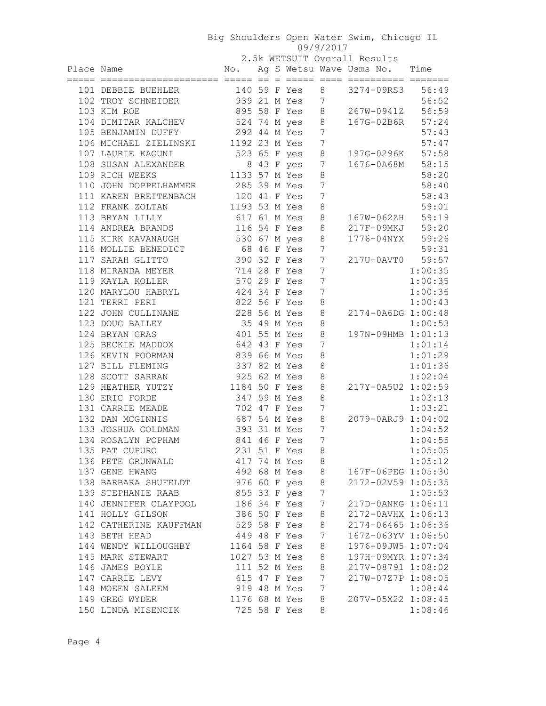## Big Shoulders Open Water Swim, Chicago IL 09/9/2017

2.5k WETSUIT Overall Results

| Place Name Mo. Ag S Wetsu Wave Usms No. Time                                                                  |                |  |                |                 |                    |         |
|---------------------------------------------------------------------------------------------------------------|----------------|--|----------------|-----------------|--------------------|---------|
|                                                                                                               |                |  |                |                 |                    |         |
| 101 DEBBIE BUEHLER<br>102 TROY SCHNEIDER<br>103 KIM ROE<br>103 KIM ROE<br>103 CHNEIDER<br>267W-0941Z<br>56:59 |                |  |                |                 |                    |         |
|                                                                                                               |                |  |                |                 |                    |         |
| 104 DIMITAR KALCHEV 524 74 M yes 8 167G-02B6R 57:24                                                           |                |  |                |                 |                    |         |
| 105 BENJAMIN DUFFY 292 44 M Yes 7                                                                             |                |  |                |                 |                    | 57:43   |
| 106 MICHAEL ZIELINSKI 1192 23 M Yes 7                                                                         |                |  |                |                 |                    | 57:47   |
| 107 LAURIE KAGUNI 523 65 F yes 8                                                                              |                |  |                |                 | 197G-0296K 57:58   |         |
|                                                                                                               |                |  |                |                 | 1676-0A68M 58:15   |         |
| 108 SUSAN ALEXANDER 8 43 F yes 7<br>109 RICH WEEKS 1133 57 M Yes 8                                            |                |  |                |                 |                    | 58:20   |
| 110 JOHN DOPPELHAMMER 285 39 M Yes 7                                                                          |                |  |                |                 |                    | 58:40   |
| 111 KAREN BREITENBACH 120 41 F Yes 7                                                                          |                |  |                |                 |                    | 58:43   |
| 112 FRANK ZOLTAN 1193 53 M Yes 8                                                                              |                |  |                |                 |                    | 59:01   |
| 113 BRYAN LILLY 617 61 M Yes 8                                                                                |                |  |                |                 | 167W-062ZH 59:19   |         |
| 114 ANDREA BRANDS 116 54 F Yes 8 217F-09MKJ 59:20                                                             |                |  |                |                 |                    |         |
| 115 KIRK KAVANAUGH 530 67 M yes 8                                                                             |                |  |                |                 | 1776-04NYX 59:26   |         |
| 116 MOLLIE BENEDICT 68 46 F Yes 7                                                                             |                |  |                |                 |                    | 59:31   |
| 390 32 F Yes 7<br>117 SARAH GLITTO                                                                            |                |  |                |                 | 217U-0AVT0 59:57   |         |
| 118 MIRANDA MEYER 714 28 F Yes 7                                                                              |                |  |                |                 |                    | 1:00:35 |
| 119 KAYLA KOLLER 570 29 F Yes 7                                                                               |                |  |                |                 |                    | 1:00:35 |
| 120 MARYLOU HABRYL 424 34 F Yes 7                                                                             |                |  |                |                 |                    | 1:00:36 |
| 121 TERRI PERI                                                                                                | 822 56 F Yes 8 |  |                |                 |                    | 1:00:43 |
| 122 JOHN CULLINANE 228 56 M Yes 8<br>123 DOUG BAILEY 35 49 M Yes 8                                            |                |  |                |                 | 2174-0A6DG 1:00:48 |         |
|                                                                                                               |                |  |                |                 |                    | 1:00:53 |
| 124 BRYAN GRAS                                                                                                | 401 55 M Yes 8 |  |                |                 | 197N-09HMB 1:01:13 |         |
| 125 BECKIE MADDOX 642 43 F Yes 7                                                                              |                |  |                |                 |                    | 1:01:14 |
| 126 KEVIN POORMAN 839 66 M Yes                                                                                |                |  |                | $\,8\,$         |                    | 1:01:29 |
| 127 BILL FLEMING 337 82 M Yes                                                                                 |                |  |                | 8               |                    | 1:01:36 |
| 128 SCOTT SARRAN 925 62 M Yes                                                                                 |                |  |                | 8               |                    | 1:02:04 |
| 129 HEATHER YUTZY 1184 50 F Yes                                                                               |                |  | 8              |                 | 217Y-0A5U2 1:02:59 |         |
| 130 ERIC FORDE<br>347 59 M Yes                                                                                |                |  |                | $\,8\,$         |                    | 1:03:13 |
| 131 CARRIE MEADE                                                                                              | 702 47 F Yes   |  | $\overline{7}$ |                 |                    | 1:03:21 |
| 687 54 M Yes 8<br>132 DAN MCGINNIS                                                                            |                |  |                |                 | 2079-0ARJ9 1:04:02 |         |
| 133 JOSHUA GOLDMAN 393 31 M Yes 7                                                                             |                |  |                |                 |                    | 1:04:52 |
| 134 ROSALYN POPHAM 841 46 F Yes 7<br>135 PAT CUPURO 231 51 F Yes 8                                            |                |  |                |                 |                    | 1:04:55 |
|                                                                                                               |                |  |                |                 |                    | 1:05:05 |
| 136 PETE GRUNWALD                                                                                             |                |  | 417 74 M Yes 8 |                 |                    | 1:05:12 |
| 137 GENE HWANG                                                                                                |                |  | 492 68 M Yes   | 8               | 167F-06PEG 1:05:30 |         |
| 138 BARBARA SHUFELDT                                                                                          |                |  | 976 60 F yes   | 8               | 2172-02V59 1:05:35 |         |
| 139 STEPHANIE RAAB                                                                                            | 855 33 F yes   |  |                | $7\phantom{.0}$ |                    | 1:05:53 |
| 140 JENNIFER CLAYPOOL                                                                                         | 186 34 F Yes   |  |                | $7\phantom{.0}$ | 217D-0ANKG 1:06:11 |         |
| 141 HOLLY GILSON                                                                                              | 386 50 F Yes   |  |                | 8               | 2172-0AVHX 1:06:13 |         |
| 142 CATHERINE KAUFFMAN                                                                                        | 529 58 F Yes   |  |                | $\,8\,$         | 2174-06465 1:06:36 |         |
| 143 BETH HEAD                                                                                                 | 449 48 F Yes   |  |                | 7               | 167Z-063YV 1:06:50 |         |
| 144 WENDY WILLOUGHBY                                                                                          | 1164 58 F Yes  |  |                | 8               | 1976-09JW5 1:07:04 |         |
| 145 MARK STEWART                                                                                              | 1027 53 M Yes  |  |                | 8               | 197H-09MYR 1:07:34 |         |
| 146 JAMES BOYLE                                                                                               |                |  | 111 52 M Yes   | 8               | 217V-08791 1:08:02 |         |
| 147 CARRIE LEVY                                                                                               | 615 47 F Yes   |  |                | $7\phantom{.0}$ | 217W-07Z7P 1:08:05 |         |
| 148 MOEEN SALEEM                                                                                              | 919 48 M Yes   |  |                | $7\phantom{.0}$ |                    | 1:08:44 |
| 149 GREG WYDER                                                                                                | 1176 68 M Yes  |  |                | 8               | 207V-05X22 1:08:45 |         |
| 150 LINDA MISENCIK                                                                                            |                |  | 725 58 F Yes   | 8               |                    | 1:08:46 |